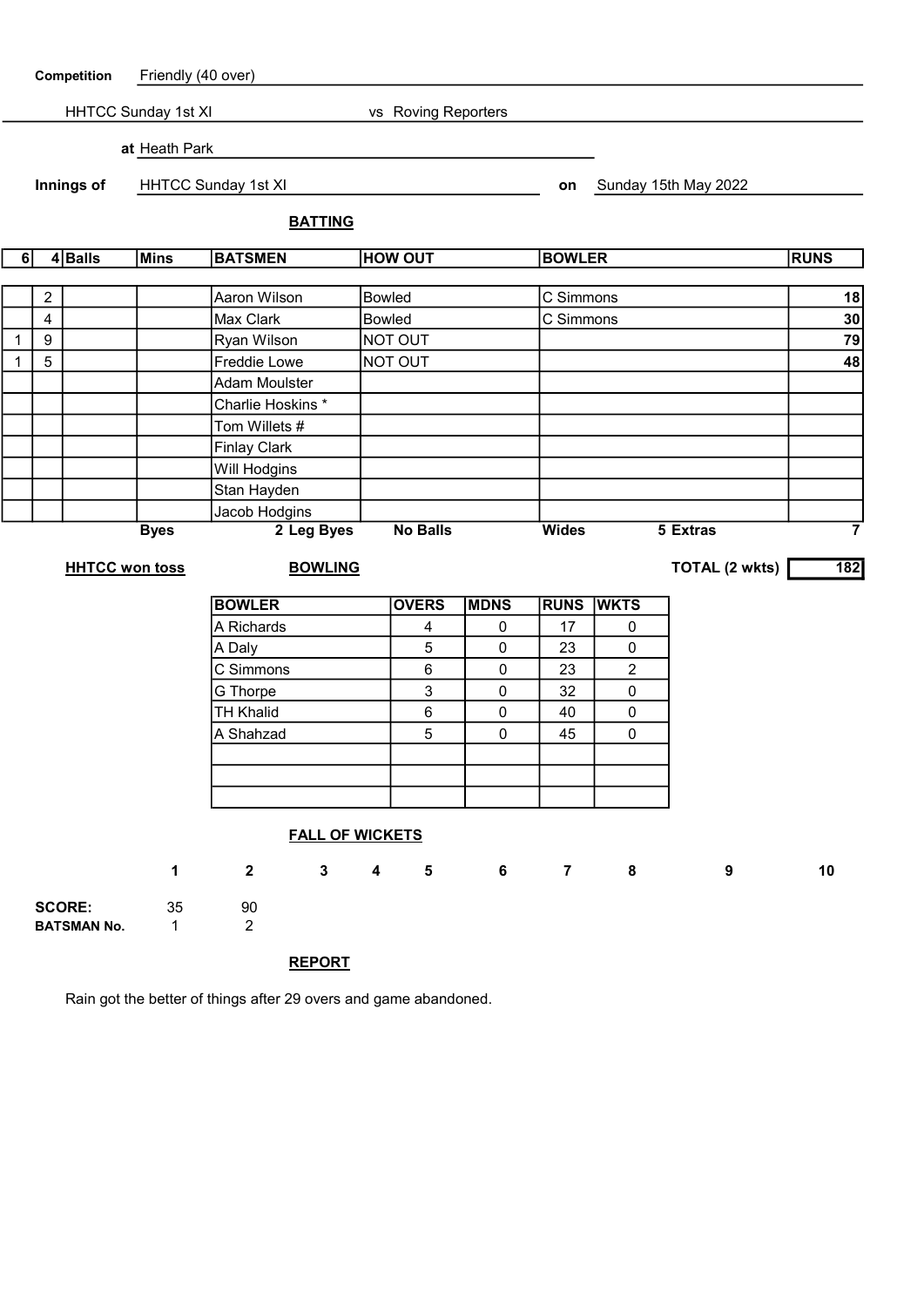| Competition                                |   | Friendly (40 over)    |                           |                        |               |                 |                |             |                |                |                      |                         |
|--------------------------------------------|---|-----------------------|---------------------------|------------------------|---------------|-----------------|----------------|-------------|----------------|----------------|----------------------|-------------------------|
| HHTCC Sunday 1st XI<br>vs Roving Reporters |   |                       |                           |                        |               |                 |                |             |                |                |                      |                         |
| at Heath Park                              |   |                       |                           |                        |               |                 |                |             |                |                |                      |                         |
| Innings of                                 |   |                       | HHTCC Sunday 1st XI       |                        |               |                 |                |             | on             |                | Sunday 15th May 2022 |                         |
|                                            |   |                       |                           | <b>BATTING</b>         |               |                 |                |             |                |                |                      |                         |
| 6                                          |   | 4Balls                | <b>Mins</b>               | <b>BATSMEN</b>         |               |                 | <b>HOW OUT</b> |             |                | <b>BOWLER</b>  |                      | <b>RUNS</b>             |
|                                            |   |                       |                           |                        |               |                 |                |             |                |                |                      |                         |
|                                            | 2 | Aaron Wilson          |                           |                        |               | <b>Bowled</b>   |                |             | C Simmons      |                |                      | 18<br>30                |
| $\overline{\mathbf{4}}$                    |   |                       | Max Clark                 |                        | <b>Bowled</b> |                 |                |             | C Simmons      |                |                      |                         |
| 9<br>$\mathbf{1}$                          |   |                       |                           | Ryan Wilson            |               |                 | NOT OUT        |             |                |                |                      | 79                      |
| $\mathbf{1}$                               | 5 |                       |                           | Freddie Lowe           |               |                 | NOT OUT        |             |                |                |                      | 48                      |
|                                            |   |                       |                           | <b>Adam Moulster</b>   |               |                 |                |             |                |                |                      |                         |
|                                            |   |                       |                           | Charlie Hoskins *      |               |                 |                |             |                |                |                      |                         |
|                                            |   |                       |                           | Tom Willets #          |               |                 |                |             |                |                |                      |                         |
|                                            |   |                       |                           | <b>Finlay Clark</b>    |               |                 |                |             |                |                |                      |                         |
|                                            |   |                       |                           | Will Hodgins           |               |                 |                |             |                |                |                      |                         |
|                                            |   |                       |                           | Stan Hayden            |               |                 |                |             |                |                |                      |                         |
|                                            |   |                       |                           | Jacob Hodgins          |               |                 |                |             | <b>Wides</b>   |                | 5 Extras             | $\overline{\mathbf{7}}$ |
|                                            |   |                       | 2 Leg Byes<br><b>Byes</b> |                        |               | <b>No Balls</b> |                |             |                |                |                      |                         |
|                                            |   | <b>HHTCC won toss</b> |                           | <b>BOWLING</b>         |               |                 |                |             |                |                | TOTAL (2 wkts)       | $\overline{182}$        |
|                                            |   |                       |                           | <b>BOWLER</b>          |               |                 | <b>OVERS</b>   | <b>MDNS</b> | <b>RUNS</b>    | <b>WKTS</b>    |                      |                         |
|                                            |   |                       |                           | A Richards             |               |                 | 4              | $\mathbf 0$ | 17             | 0              |                      |                         |
|                                            |   |                       |                           | A Daly                 |               |                 | 5              | $\pmb{0}$   | 23             | 0              |                      |                         |
|                                            |   |                       |                           | C Simmons              |               |                 | 6              | $\pmb{0}$   | 23             | $\overline{c}$ |                      |                         |
|                                            |   |                       |                           | G Thorpe               |               |                 | 3              | $\pmb{0}$   | 32             | 0              |                      |                         |
|                                            |   |                       |                           | <b>TH Khalid</b>       |               |                 | $\,6$          | $\pmb{0}$   | 40             | 0              |                      |                         |
|                                            |   |                       |                           | A Shahzad              |               |                 | 5              | 0           | 45             | 0              |                      |                         |
|                                            |   |                       |                           |                        |               |                 |                |             |                |                |                      |                         |
|                                            |   |                       |                           |                        |               |                 |                |             |                |                |                      |                         |
|                                            |   |                       |                           |                        |               |                 |                |             |                |                |                      |                         |
|                                            |   |                       |                           |                        |               |                 |                |             |                |                |                      |                         |
|                                            |   |                       |                           | <b>FALL OF WICKETS</b> |               |                 |                |             |                |                |                      |                         |
|                                            |   |                       | 1                         | $\overline{2}$         | $\mathbf{3}$  | 4               | 5              | $6 -$       | 7 <sup>7</sup> | 8              | 9                    | 10                      |
| <b>SCORE:</b>                              |   | 35                    | 90                        |                        |               |                 |                |             |                |                |                      |                         |
|                                            |   | <b>BATSMAN No.</b>    | $\mathbf{1}$              | $\overline{2}$         |               |                 |                |             |                |                |                      |                         |
|                                            |   |                       |                           |                        |               |                 |                |             |                |                |                      |                         |

REPORT

Rain got the better of things after 29 overs and game abandoned.